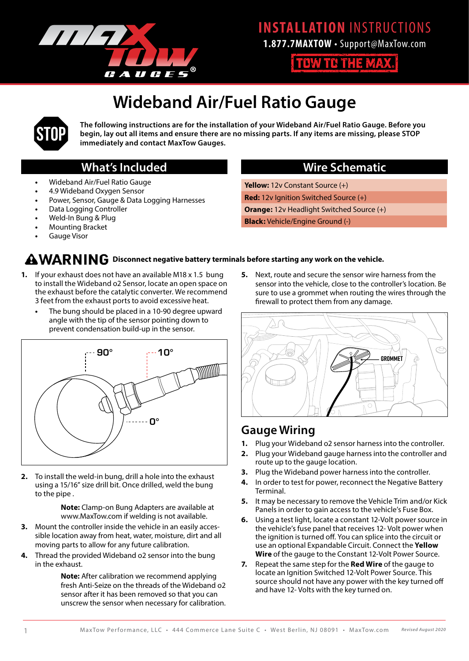

**1.877.7MAXTOW** • Support@MaxTow.com

**TOW TO THE MAX.** 

# **Wideband Air/Fuel Ratio Gauge**



**The following instructions are for the installation of your Wideband Air/Fuel Ratio Gauge. Before you begin, lay out all items and ensure there are no missing parts. If any items are missing, please STOP immediately and contact MaxTow Gauges.**

## **What's Included**

- **•** Wideband Air/Fuel Ratio Gauge
- **•** 4.9 Wideband Oxygen Sensor
- **•** Power, Sensor, Gauge & Data Logging Harnesses
- **•** Data Logging Controller
- **•** Weld-In Bung & Plug
- **•** Mounting Bracket
- **•** Gauge Visor

## **Wire Schematic**

**Yellow:** 12v Constant Source (+) **Red:** 12v Ignition Switched Source (+) **Orange:** 12v Headlight Switched Source (+) **Black:** Vehicle/Engine Ground (-)

### **AWARNING** Disconnect negative battery terminals before starting any work on the vehicle.

- **1.** If your exhaust does not have an available M18 x 1.5 bung to install the Wideband o2 Sensor, locate an open space on the exhaust before the catalytic converter. We recommend 3 feet from the exhaust ports to avoid excessive heat.
	- **•** The bung should be placed in a 10-90 degree upward angle with the tip of the sensor pointing down to prevent condensation build-up in the sensor.



**2.** To install the weld-in bung, drill a hole into the exhaust using a 15/16" size drill bit. Once drilled, weld the bung to the pipe .

> **Note:** Clamp-on Bung Adapters are available at www.MaxTow.com if welding is not available.

- **3.** Mount the controller inside the vehicle in an easily accessible location away from heat, water, moisture, dirt and all moving parts to allow for any future calibration.
- **4.** Thread the provided Wideband o2 sensor into the bung in the exhaust.

**Note:** After calibration we recommend applying fresh Anti-Seize on the threads of the Wideband o2 sensor after it has been removed so that you can unscrew the sensor when necessary for calibration. **5.** Next, route and secure the sensor wire harness from the sensor into the vehicle, close to the controller's location. Be sure to use a grommet when routing the wires through the firewall to protect them from any damage.



## **Gauge Wiring**

- **1.** Plug your Wideband o2 sensor harness into the controller.
- **2.** Plug your Wideband gauge harness into the controller and route up to the gauge location.
- **3.** Plug the Wideband power harness into the controller.
- **4.** In order to test for power, reconnect the Negative Battery Terminal.
- **5.** It may be necessary to remove the Vehicle Trim and/or Kick Panels in order to gain access to the vehicle's Fuse Box.
- **6.** Using a test light, locate a constant 12-Volt power source in the vehicle's fuse panel that receives 12- Volt power when the ignition is turned off. You can splice into the circuit or use an optional Expandable Circuit. Connect the **Yellow Wire** of the gauge to the Constant 12-Volt Power Source.
- **7.** Repeat the same step for the **Red Wire** of the gauge to locate an Ignition Switched 12-Volt Power Source. This source should not have any power with the key turned off and have 12- Volts with the key turned on.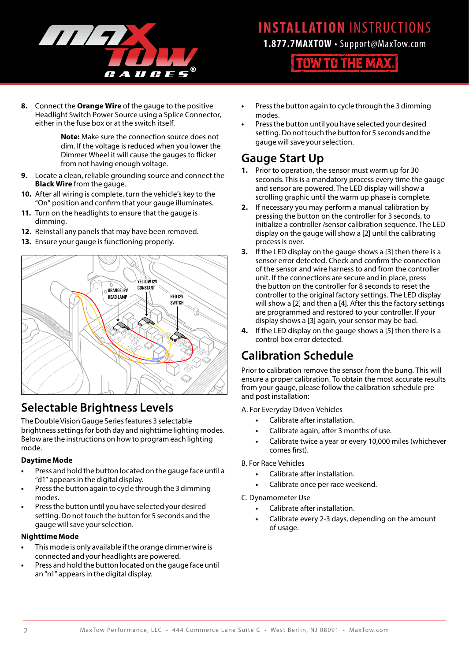

**1.877.7MAXTOW** • Support@MaxTow.com

**TOW TO THE MAX.** 

**8.** Connect the **Orange Wire** of the gauge to the positive Headlight Switch Power Source using a Splice Connector, either in the fuse box or at the switch itself.

> **Note:** Make sure the connection source does not dim. If the voltage is reduced when you lower the Dimmer Wheel it will cause the gauges to flicker from not having enough voltage.

- **9.** Locate a clean, reliable grounding source and connect the **Black Wire** from the gauge.
- **10.** After all wiring is complete, turn the vehicle's key to the "On" position and confirm that your gauge illuminates.
- **11.** Turn on the headlights to ensure that the gauge is dimming.
- **12.** Reinstall any panels that may have been removed.
- **13.** Ensure your gauge is functioning properly.



## **Selectable Brightness Levels**

The Double Vision Gauge Series features 3 selectable brightness settings for both day and nighttime lighting modes. Below are the instructions on how to program each lighting mode.

### **Daytime Mode**

- **•** Press and hold the button located on the gauge face until a "d1" appears in the digital display.
- **•** Press the button again to cycle through the 3 dimming modes.
- **•** Press the button until you have selected your desired setting. Do not touch the button for 5 seconds and the gauge will save your selection.

### **Nighttime Mode**

- **•** This mode is only available if the orange dimmer wire is connected and your headlights are powered.
- **•** Press and hold the button located on the gauge face until an "n1" appears in the digital display.
- **•** Press the button again to cycle through the 3 dimming modes.
- **•** Press the button until you have selected your desired setting. Do not touch the button for 5 seconds and the gauge will save your selection.

## **Gauge Start Up**

- **1.** Prior to operation, the sensor must warm up for 30 seconds. This is a mandatory process every time the gauge and sensor are powered. The LED display will show a scrolling graphic until the warm up phase is complete.
- **2.** If necessary you may perform a manual calibration by pressing the button on the controller for 3 seconds, to initialize a controller /sensor calibration sequence. The LED display on the gauge will show a [2] until the calibrating process is over.
- **3.** If the LED display on the gauge shows a [3] then there is a sensor error detected. Check and confirm the connection of the sensor and wire harness to and from the controller unit. If the connections are secure and in place, press the button on the controller for 8 seconds to reset the controller to the original factory settings. The LED display will show a [2] and then a [4]. After this the factory settings are programmed and restored to your controller. If your display shows a [3] again, your sensor may be bad.
- **4.** If the LED display on the gauge shows a [5] then there is a control box error detected.

## **Calibration Schedule**

Prior to calibration remove the sensor from the bung. This will ensure a proper calibration. To obtain the most accurate results from your gauge, please follow the calibration schedule pre and post installation:

A. For Everyday Driven Vehicles

- **•** Calibrate after installation.
- **•** Calibrate again, after 3 months of use.
- **•** Calibrate twice a year or every 10,000 miles (whichever comes first).

B. For Race Vehicles

- **•** Calibrate after installation.
- **•** Calibrate once per race weekend.

C. Dynamometer Use

- **•** Calibrate after installation.
- **•** Calibrate every 2-3 days, depending on the amount of usage.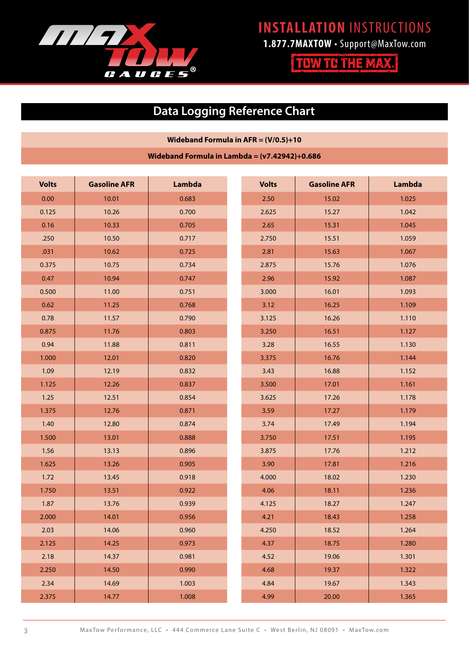

**1.877.7MAXTOW** • Support@MaxTow.com

**TOW TO THE MAX.** 

# **Data Logging Reference Chart**

### **Wideband Formula in AFR = (V/0.5)+10**

**Wideband Formula in Lambda = (v7.42942)+0.686**

| <b>Volts</b> | <b>Gasoline AFR</b> | Lambda | <b>Volts</b> | <b>Gasoline AFR</b> | Lambda |
|--------------|---------------------|--------|--------------|---------------------|--------|
| 0.00         | 10.01               | 0.683  | 2.50         | 15.02               | 1.025  |
| 0.125        | 10.26               | 0.700  | 2.625        | 15.27               | 1.042  |
| 0.16         | 10.33               | 0.705  | 2.65         | 15.31               | 1.045  |
| .250         | 10.50               | 0.717  | 2.750        | 15.51               | 1.059  |
| .031         | 10.62               | 0.725  | 2.81         | 15.63               | 1.067  |
| 0.375        | 10.75               | 0.734  | 2.875        | 15.76               | 1.076  |
| 0.47         | 10.94               | 0.747  | 2.96         | 15.92               | 1.087  |
| 0.500        | 11.00               | 0.751  | 3.000        | 16.01               | 1.093  |
| 0.62         | 11.25               | 0.768  | 3.12         | 16.25               | 1.109  |
| 0.78         | 11.57               | 0.790  | 3.125        | 16.26               | 1.110  |
| 0.875        | 11.76               | 0.803  | 3.250        | 16.51               | 1.127  |
| 0.94         | 11.88               | 0.811  | 3.28         | 16.55               | 1.130  |
| 1.000        | 12.01               | 0.820  | 3.375        | 16.76               | 1.144  |
| 1.09         | 12.19               | 0.832  | 3.43         | 16.88               | 1.152  |
| 1.125        | 12.26               | 0.837  | 3.500        | 17.01               | 1.161  |
| 1.25         | 12.51               | 0.854  | 3.625        | 17.26               | 1.178  |
| 1.375        | 12.76               | 0.871  | 3.59         | 17.27               | 1.179  |
| 1.40         | 12.80               | 0.874  | 3.74         | 17.49               | 1.194  |
| 1.500        | 13.01               | 0.888  | 3.750        | 17.51               | 1.195  |
| 1.56         | 13.13               | 0.896  | 3.875        | 17.76               | 1.212  |
| 1.625        | 13.26               | 0.905  | 3.90         | 17.81               | 1.216  |
| 1.72         | 13.45               | 0.918  | 4.000        | 18.02               | 1.230  |
| 1.750        | 13.51               | 0.922  | 4.06         | 18.11               | 1.236  |
| 1.87         | 13.76               | 0.939  | 4.125        | 18.27               | 1.247  |
| 2.000        | 14.01               | 0.956  | 4.21         | 18.43               | 1.258  |
| 2.03         | 14.06               | 0.960  | 4.250        | 18.52               | 1.264  |
| 2.125        | 14.25               | 0.973  | 4.37         | 18.75               | 1.280  |
| 2.18         | 14.37               | 0.981  | 4.52         | 19.06               | 1.301  |
| 2.250        | 14.50               | 0.990  | 4.68         | 19.37               | 1.322  |
| 2.34         | 14.69               | 1.003  | 4.84         | 19.67               | 1.343  |
| 2.375        | 14.77               | 1.008  | 4.99         | 20.00               | 1.365  |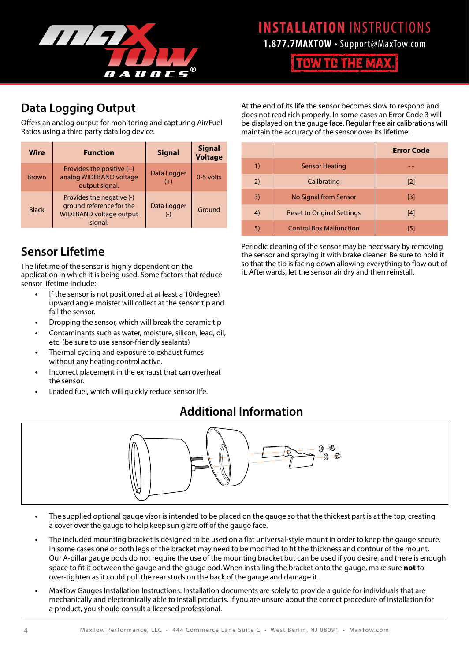

**1.877.7MAXTOW** • Support@MaxTow.com

**TOW TO THE MAX.** 

# **Data Logging Output**

Offers an analog output for monitoring and capturing Air/Fuel Ratios using a third party data log device.

| <b>Wire</b>  | <b>Function</b>                                                                                    | <b>Signal</b>        | <b>Signal</b><br><b>Voltage</b> |
|--------------|----------------------------------------------------------------------------------------------------|----------------------|---------------------------------|
| <b>Brown</b> | Provides the positive $(+)$<br>analog WIDEBAND voltage<br>output signal.                           | Data Logger<br>$(+)$ | 0-5 volts                       |
| <b>Black</b> | Provides the negative (-)<br>ground reference for the<br><b>WIDEBAND voltage output</b><br>signal. | Data Logger<br>$(-)$ | Ground                          |

## **Sensor Lifetime**

The lifetime of the sensor is highly dependent on the application in which it is being used. Some factors that reduce sensor lifetime include:

- **•** If the sensor is not positioned at at least a 10(degree) upward angle moister will collect at the sensor tip and fail the sensor.
- **•** Dropping the sensor, which will break the ceramic tip
- **•** Contaminants such as water, moisture, silicon, lead, oil, etc. (be sure to use sensor-friendly sealants)
- **•** Thermal cycling and exposure to exhaust fumes without any heating control active.
- **•** Incorrect placement in the exhaust that can overheat the sensor.
- **•** Leaded fuel, which will quickly reduce sensor life.

## **Additional Information**



- **•** The supplied optional gauge visor is intended to be placed on the gauge so that the thickest part is at the top, creating a cover over the gauge to help keep sun glare off of the gauge face.
- **•** The included mounting bracket is designed to be used on a flat universal-style mount in order to keep the gauge secure. In some cases one or both legs of the bracket may need to be modified to fit the thickness and contour of the mount. Our A-pillar gauge pods do not require the use of the mounting bracket but can be used if you desire, and there is enough space to fit it between the gauge and the gauge pod. When installing the bracket onto the gauge, make sure **not** to over-tighten as it could pull the rear studs on the back of the gauge and damage it.
- **•** MaxTow Gauges Installation Instructions: Installation documents are solely to provide a guide for individuals that are mechanically and electronically able to install products. If you are unsure about the correct procedure of installation for a product, you should consult a licensed professional.

At the end of its life the sensor becomes slow to respond and does not read rich properly. In some cases an Error Code 3 will be displayed on the gauge face. Regular free air calibrations will maintain the accuracy of the sensor over its lifetime.

|    |                                   | <b>Error Code</b> |
|----|-----------------------------------|-------------------|
| 1) | <b>Sensor Heating</b>             |                   |
| 2) | Calibrating                       | $\lceil 2 \rceil$ |
| 3) | No Signal from Sensor             | $\lceil 3 \rceil$ |
| 4) | <b>Reset to Original Settings</b> | $[4]$             |
| 5) | <b>Control Box Malfunction</b>    | [5]               |

Periodic cleaning of the sensor may be necessary by removing the sensor and spraying it with brake cleaner. Be sure to hold it so that the tip is facing down allowing everything to flow out of it. Afterwards, let the sensor air dry and then reinstall.